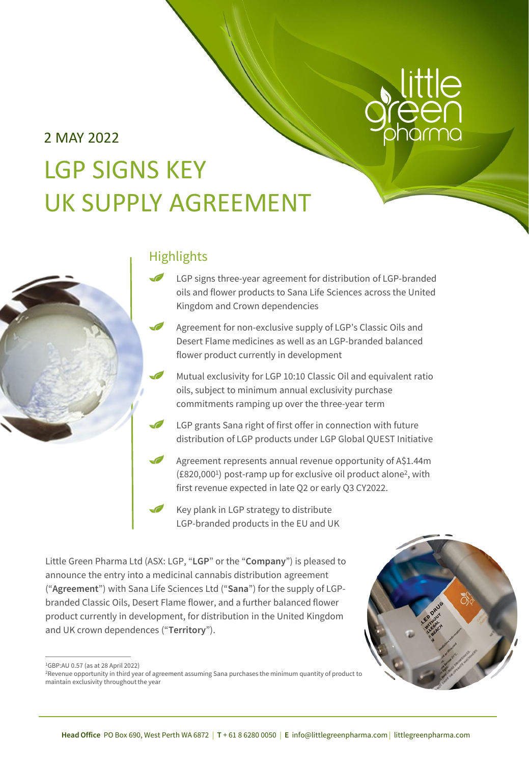# 2 MAY 2022 LGP SIGNS KEY UK SUPPLY AGREEMENT



## **Highlights**

- LGP signs three-year agreement for distribution of LGP-branded oils and flower products to Sana Life Sciences across the United Kingdom and Crown dependencies
- Agreement for non-exclusive supply of LGP's Classic Oils and Desert Flame medicines as well as an LGP-branded balanced flower product currently in development
	- Mutual exclusivity for LGP 10:10 Classic Oil and equivalent ratio oils, subject to minimum annual exclusivity purchase commitments ramping up over the three-year term
	- LGP grants Sana right of first offer in connection with future distribution of LGP products under LGP Global QUEST Initiative
- Agreement represents annual revenue opportunity of A\$1.44m (£820,0001) post-ramp up for exclusive oil product alone2, with first revenue expected in late Q2 or early Q3 CY2022.
- Key plank in LGP strategy to distribute LGP-branded products in the EU and UK

Little Green Pharma Ltd (ASX: LGP, "**LGP**" or the "**Company**") is pleased to announce the entry into a medicinal cannabis distribution agreement ("**Agreement**") with Sana Life Sciences Ltd ("**Sana**") for the supply of LGPbranded Classic Oils, Desert Flame flower, and a further balanced flower product currently in development, for distribution in the United Kingdom and UK crown dependences ("**Territory**").



<sup>1</sup>GBP:AU 0.57 (as at 28 April 2022)

<sup>&</sup>lt;sup>2</sup>Revenue opportunity in third year of agreement assuming Sana purchases the minimum quantity of product to maintain exclusivity throughout the year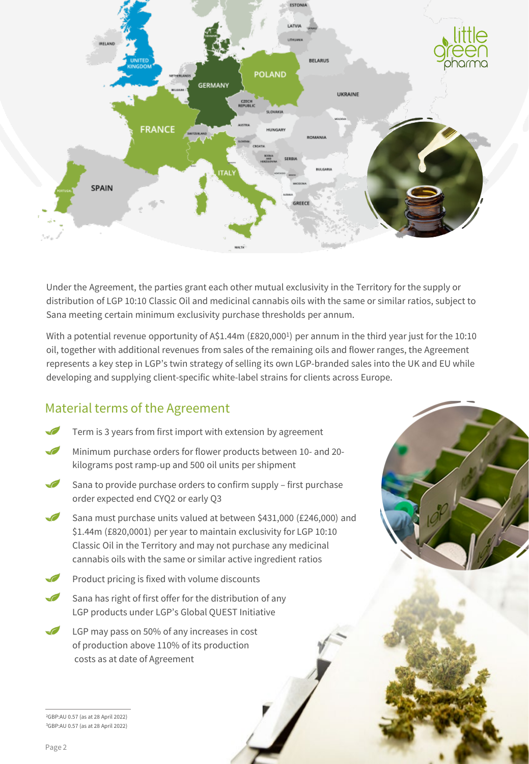

Under the Agreement, the parties grant each other mutual exclusivity in the Territory for the supply or distribution of LGP 10:10 Classic Oil and medicinal cannabis oils with the same or similar ratios, subject to Sana meeting certain minimum exclusivity purchase thresholds per annum.

With a potential revenue opportunity of A\$1.44m (£820,000<sup>1</sup>) per annum in the third year just for the 10:10 oil, together with additional revenues from sales of the remaining oils and flower ranges, the Agreement represents a key step in LGP's twin strategy of selling its own LGP-branded sales into the UK and EU while developing and supplying client-specific white-label strains for clients across Europe.

# Material terms of the Agreement

- Term is 3 years from first import with extension by agreement
- Minimum purchase orders for flower products between 10- and 20 kilograms post ramp-up and 500 oil units per shipment
- $\epsilon$ Sana to provide purchase orders to confirm supply – first purchase order expected end CYQ2 or early Q3
- $\sqrt{2}$ Sana must purchase units valued at between \$431,000 (£246,000) and \$1.44m (£820,0001) per year to maintain exclusivity for LGP 10:10 Classic Oil in the Territory and may not purchase any medicinal cannabis oils with the same or similar active ingredient ratios
- Product pricing is fixed with volume discounts
- Sana has right of first offer for the distribution of any  $\mathcal{L}$ LGP products under LGP's Global QUEST Initiative
- $\sqrt{2}$ LGP may pass on 50% of any increases in cost of production above 110% of its production costs as at date of Agreement

2GBP:AU 0.57 (as at 28 April 2022) 3GBP:AU 0.57 (as at 28 April 2022)